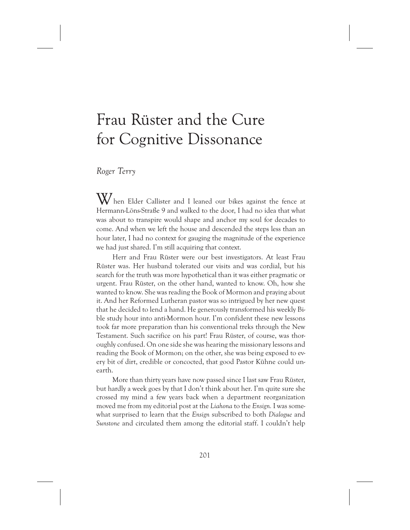# Frau Rüster and the Cure for Cognitive Dissonance

# *Roger Terry*

When Elder Callister and I leaned our bikes against the fence at Hermann-Löns-Straße 9 and walked to the door, I had no idea that what was about to transpire would shape and anchor my soul for decades to come. And when we left the house and descended the steps less than an hour later, I had no context for gauging the magnitude of the experience we had just shared. I'm still acquiring that context.

Herr and Frau Rüster were our best investigators. At least Frau Rüster was. Her husband tolerated our visits and was cordial, but his search for the truth was more hypothetical than it was either pragmatic or urgent. Frau Rüster, on the other hand, wanted to know. Oh, how she wanted to know. She was reading the Book of Mormon and praying about it. And her Reformed Lutheran pastor was so intrigued by her new quest that he decided to lend a hand. He generously transformed his weekly Bible study hour into anti-Mormon hour. I'm confident these new lessons took far more preparation than his conventional treks through the New Testament. Such sacrifice on his part! Frau Rüster, of course, was thoroughly confused. On one side she was hearing the missionary lessons and reading the Book of Mormon; on the other, she was being exposed to every bit of dirt, credible or concocted, that good Pastor Kühne could unearth.

More than thirty years have now passed since I last saw Frau Rüster, but hardly a week goes by that I don't think about her. I'm quite sure she crossed my mind a few years back when a department reorganization moved me from my editorial post at the *Liahona* to the *Ensign.* I was somewhat surprised to learn that the *Ensign* subscribed to both *Dialogue* and *Sunstone* and circulated them among the editorial staff. I couldn't help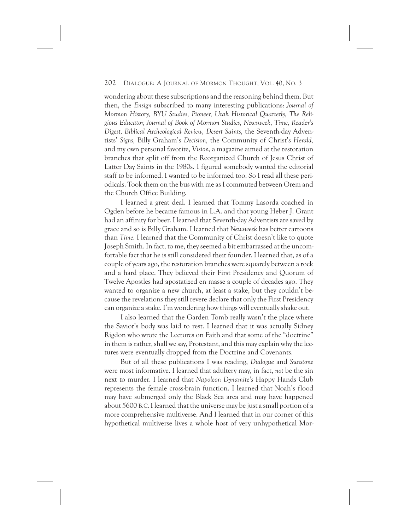wondering about these subscriptions and the reasoning behind them. But then, the *Ensign* subscribed to many interesting publications: *Journal of Mormon History, BYU Studies, Pioneer, Utah Historical Quarterly, The Religious Educator, Journal of Book of Mormon Studies, Newsweek, Time, Reader's Digest, Biblical Archeological Review, Desert Saints,* the Seventh-day Adventists' *Signs,* Billy Graham's *Decision,* the Community of Christ's *Herald,* and my own personal favorite, *Vision,* a magazine aimed at the restoration branches that split off from the Reorganized Church of Jesus Christ of Latter Day Saints in the 1980s. I figured somebody wanted the editorial staff to be informed. I wanted to be informed too. So I read all these periodicals. Took them on the bus with me as I commuted between Orem and the Church Office Building.

I learned a great deal. I learned that Tommy Lasorda coached in Ogden before he became famous in L.A. and that young Heber J. Grant had an affinity for beer. I learned that Seventh-day Adventists are saved by grace and so is Billy Graham. I learned that *Newsweek* has better cartoons than *Time.* I learned that the Community of Christ doesn't like to quote Joseph Smith. In fact, to me, they seemed a bit embarrassed at the uncomfortable fact that he is still considered their founder. I learned that, as of a couple of years ago, the restoration branches were squarely between a rock and a hard place. They believed their First Presidency and Quorum of Twelve Apostles had apostatized en masse a couple of decades ago. They wanted to organize a new church, at least a stake, but they couldn't because the revelations they still revere declare that only the First Presidency can organize a stake. I'm wondering how things will eventually shake out.

I also learned that the Garden Tomb really wasn't the place where the Savior's body was laid to rest. I learned that it was actually Sidney Rigdon who wrote the Lectures on Faith and that some of the "doctrine" in them is rather, shall we say, Protestant, and this may explain why the lectures were eventually dropped from the Doctrine and Covenants.

But of all these publications I was reading, *Dialogue* and *Sunstone* were most informative. I learned that adultery may, in fact, *not* be the sin next to murder. I learned that *Napoleon Dynamite's* Happy Hands Club represents the female cross-brain function. I learned that Noah's flood may have submerged only the Black Sea area and may have happened about 5600 B.C. I learned that the universe may be just a small portion of a more comprehensive multiverse. And I learned that in our corner of this hypothetical multiverse lives a whole host of very unhypothetical Mor-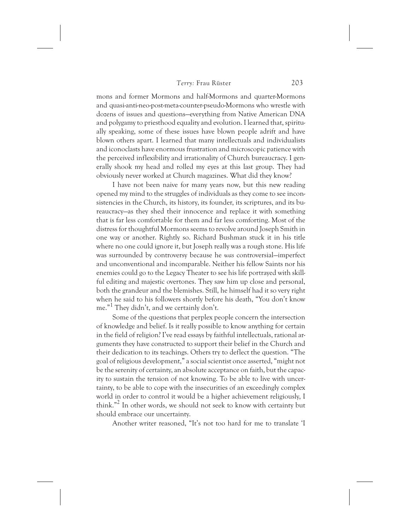mons and former Mormons and half-Mormons and quarter-Mormons and quasi-anti-neo-post-meta-counter-pseudo-Mormons who wrestle with dozens of issues and questions—everything from Native American DNA and polygamy to priesthood equality and evolution. I learned that, spiritually speaking, some of these issues have blown people adrift and have blown others apart. I learned that many intellectuals and individualists and iconoclasts have enormous frustration and microscopic patience with the perceived inflexibility and irrationality of Church bureaucracy. I generally shook my head and rolled my eyes at this last group. They had obviously never worked at Church magazines. What did they know?

I have not been naive for many years now, but this new reading opened my mind to the struggles of individuals as they come to see inconsistencies in the Church, its history, its founder, its scriptures, and its bureaucracy—as they shed their innocence and replace it with something that is far less comfortable for them and far less comforting. Most of the distress for thoughtful Mormons seems to revolve around Joseph Smith in one way or another. Rightly so. Richard Bushman stuck it in his title where no one could ignore it, but Joseph really was a rough stone. His life was surrounded by controversy because he *was* controversial—imperfect and unconventional and incomparable. Neither his fellow Saints nor his enemies could go to the Legacy Theater to see his life portrayed with skillful editing and majestic overtones. They saw him up close and personal, both the grandeur and the blemishes. Still, he himself had it so very right when he said to his followers shortly before his death, "You don't know me."1 They didn't, and we certainly don't.

Some of the questions that perplex people concern the intersection of knowledge and belief. Is it really possible to know anything for certain in the field of religion? I've read essays by faithful intellectuals, rational arguments they have constructed to support their belief in the Church and their dedication to its teachings. Others try to deflect the question. "The goal of religious development," a social scientist once asserted, "might not be the serenity of certainty, an absolute acceptance on faith, but the capacity to sustain the tension of not knowing. To be able to live with uncertainty, to be able to cope with the insecurities of an exceedingly complex world in order to control it would be a higher achievement religiously, I think."2 In other words, we should not seek to know with certainty but should embrace our uncertainty.

Another writer reasoned, "It's not too hard for me to translate 'I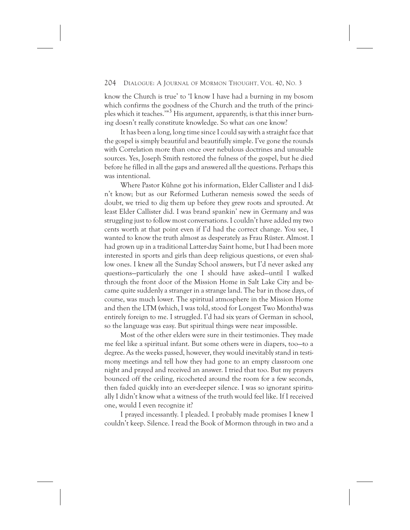know the Church is true' to 'I know I have had a burning in my bosom which confirms the goodness of the Church and the truth of the principles which it teaches.'"<sup>3</sup> His argument, apparently, is that this inner burning doesn't really constitute knowledge. So what *can* one know?

It has been a long, long time since I could say with a straight face that the gospel is simply beautiful and beautifully simple. I've gone the rounds with Correlation more than once over nebulous doctrines and unusable sources. Yes, Joseph Smith restored the fulness of the gospel, but he died before he filled in all the gaps and answered all the questions. Perhaps this was intentional.

Where Pastor Kühne got his information, Elder Callister and I didn't know; but as our Reformed Lutheran nemesis sowed the seeds of doubt, we tried to dig them up before they grew roots and sprouted. At least Elder Callister did. I was brand spankin' new in Germany and was struggling just to follow most conversations. I couldn't have added my two cents worth at that point even if I'd had the correct change. You see, I wanted to know the truth almost as desperately as Frau Rüster. Almost. I had grown up in a traditional Latter-day Saint home, but I had been more interested in sports and girls than deep religious questions, or even shallow ones. I knew all the Sunday School answers, but I'd never asked any questions—particularly the one I should have asked—until I walked through the front door of the Mission Home in Salt Lake City and became quite suddenly a stranger in a strange land. The bar in those days, of course, was much lower. The spiritual atmosphere in the Mission Home and then the LTM (which, I was told, stood for Longest Two Months) was entirely foreign to me. I struggled. I'd had six years of German in school, so the language was easy. But spiritual things were near impossible.

Most of the other elders were sure in their testimonies. They made me feel like a spiritual infant. But some others were in diapers, too—to a degree. As the weeks passed, however, they would inevitably stand in testimony meetings and tell how they had gone to an empty classroom one night and prayed and received an answer. I tried that too. But my prayers bounced off the ceiling, ricocheted around the room for a few seconds, then faded quickly into an ever-deeper silence. I was so ignorant spiritually I didn't know what a witness of the truth would feel like. If I received one, would I even recognize it?

I prayed incessantly. I pleaded. I probably made promises I knew I couldn't keep. Silence. I read the Book of Mormon through in two and a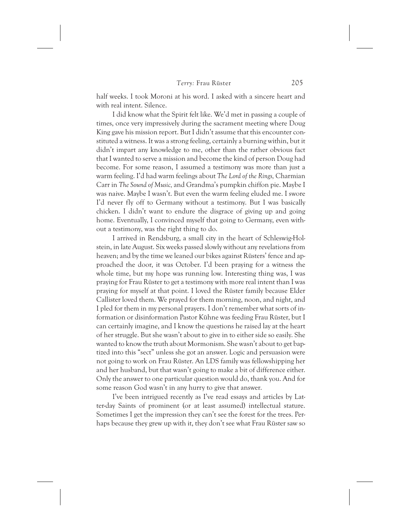half weeks. I took Moroni at his word. I asked with a sincere heart and with real intent. Silence.

I did know what the Spirit felt like. We'd met in passing a couple of times, once very impressively during the sacrament meeting where Doug King gave his mission report. But I didn't assume that this encounter constituted a witness. It was a strong feeling, certainly a burning within, but it didn't impart any knowledge to me, other than the rather obvious fact that I wanted to serve a mission and become the kind of person Doug had become. For some reason, I assumed a testimony was more than just a warm feeling. I'd had warm feelings about *The Lord of the Rings,* Charmian Carr in *The Sound of Music,* and Grandma's pumpkin chiffon pie. Maybe I was naive. Maybe I wasn't. But even the warm feeling eluded me. I swore I'd never fly off to Germany without a testimony. But I was basically chicken. I didn't want to endure the disgrace of giving up and going home. Eventually, I convinced myself that going to Germany, even without a testimony, was the right thing to do.

I arrived in Rendsburg, a small city in the heart of Schleswig-Holstein, in late August. Six weeks passed slowly without any revelations from heaven; and by the time we leaned our bikes against Rüsters' fence and approached the door, it was October. I'd been praying for a witness the whole time, but my hope was running low. Interesting thing was, I was praying for Frau Rüster to get a testimony with more real intent than I was praying for myself at that point. I loved the Rüster family because Elder Callister loved them. We prayed for them morning, noon, and night, and I pled for them in my personal prayers. I don't remember what sorts of information or disinformation Pastor Kühne was feeding Frau Rüster, but I can certainly imagine, and I know the questions he raised lay at the heart of her struggle. But she wasn't about to give in to either side so easily. She wanted to know the truth about Mormonism. She wasn't about to get baptized into this "sect" unless she got an answer. Logic and persuasion were not going to work on Frau Rüster. An LDS family was fellowshipping her and her husband, but that wasn't going to make a bit of difference either. Only the answer to one particular question would do, thank you. And for some reason God wasn't in any hurry to give that answer.

I've been intrigued recently as I've read essays and articles by Latter-day Saints of prominent (or at least assumed) intellectual stature. Sometimes I get the impression they can't see the forest for the trees. Perhaps because they grew up with it, they don't see what Frau Rüster saw so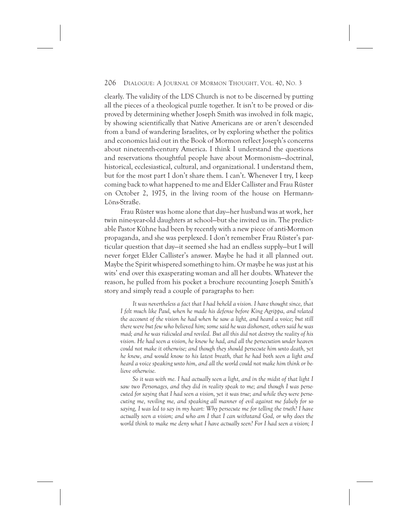clearly. The validity of the LDS Church is not to be discerned by putting all the pieces of a theological puzzle together. It isn't to be proved or disproved by determining whether Joseph Smith was involved in folk magic, by showing scientifically that Native Americans are or aren't descended from a band of wandering Israelites, or by exploring whether the politics and economics laid out in the Book of Mormon reflect Joseph's concerns about nineteenth-century America. I think I understand the questions and reservations thoughtful people have about Mormonism—doctrinal, historical, ecclesiastical, cultural, and organizational. I understand them, but for the most part I don't share them. I can't. Whenever I try, I keep coming back to what happened to me and Elder Callister and Frau Rüster on October 2, 1975, in the living room of the house on Hermann-Löns-Straße.

Frau Rüster was home alone that day—her husband was at work, her twin nine-year-old daughters at school—but she invited us in. The predictable Pastor Kühne had been by recently with a new piece of anti-Mormon propaganda, and she was perplexed. I don't remember Frau Rüster's particular question that day—it seemed she had an endless supply—but I will never forget Elder Callister's answer. Maybe he had it all planned out. Maybe the Spirit whispered something to him. Or maybe he was just at his wits' end over this exasperating woman and all her doubts. Whatever the reason, he pulled from his pocket a brochure recounting Joseph Smith's story and simply read a couple of paragraphs to her:

*It was nevertheless a fact that I had beheld a vision. I have thought since, that I felt much like Paul, when he made his defense before King Agrippa, and related the account of the vision he had when he saw a light, and heard a voice; but still there were but few who believed him; some said he was dishonest, others said he was mad; and he was ridiculed and reviled. But all this did not destroy the reality of his vision. He had seen a vision, he knew he had, and all the persecution under heaven could not make it otherwise; and though they should persecute him unto death, yet he knew, and would know to his latest breath, that he had both seen a light and heard a voice speaking unto him, and all the world could not make him think or believe otherwise.*

*So it was with me. I had actually seen a light, and in the midst of that light I saw two Personages, and they did in reality speak to me; and though I was persecuted for saying that I had seen a vision, yet it was true; and while they were persecuting me, reviling me, and speaking all manner of evil against me falsely for so saying, I was led to say in my heart: Why persecute me for telling the truth? I have actually seen a vision; and who am I that I can withstand God, or why does the world think to make me deny what I have actually seen? For I had seen a vision; I*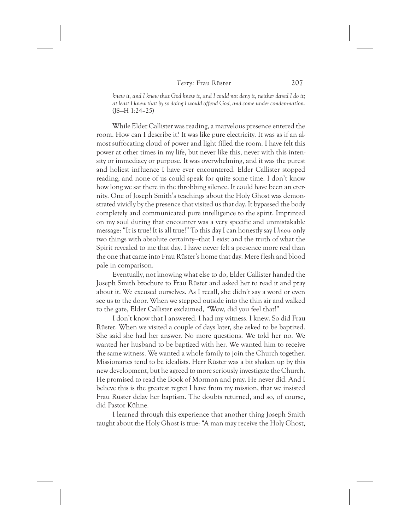*knew it, and I knew that God knew it, and I could not deny it, neither dared I do it; at least I knew that by so doing I would offend God, and come under condemnation.* (JS—H 1:24–25)

While Elder Callister was reading, a marvelous presence entered the room. How can I describe it? It was like pure electricity. It was as if an almost suffocating cloud of power and light filled the room. I have felt this power at other times in my life, but never like this, never with this intensity or immediacy or purpose. It was overwhelming, and it was the purest and holiest influence I have ever encountered. Elder Callister stopped reading, and none of us could speak for quite some time. I don't know how long we sat there in the throbbing silence. It could have been an eternity. One of Joseph Smith's teachings about the Holy Ghost was demonstrated vividly by the presence that visited us that day. It bypassed the body completely and communicated pure intelligence to the spirit. Imprinted on my soul during that encounter was a very specific and unmistakable message: "It is true! It is all true!" To this day I can honestly say I *know* only two things with absolute certainty—that I exist and the truth of what the Spirit revealed to me that day. I have never felt a presence more real than the one that came into Frau Rüster's home that day. Mere flesh and blood pale in comparison.

Eventually, not knowing what else to do, Elder Callister handed the Joseph Smith brochure to Frau Rüster and asked her to read it and pray about it. We excused ourselves. As I recall, she didn't say a word or even see us to the door. When we stepped outside into the thin air and walked to the gate, Elder Callister exclaimed, "Wow, did you feel that!"

I don't know that I answered. I had my witness. I knew. So did Frau Rüster. When we visited a couple of days later, she asked to be baptized. She said she had her answer. No more questions. We told her no. We wanted her husband to be baptized with her. We wanted him to receive the same witness. We wanted a whole family to join the Church together. Missionaries tend to be idealists. Herr Rüster was a bit shaken up by this new development, but he agreed to more seriously investigate the Church. He promised to read the Book of Mormon and pray. He never did. And I believe this is the greatest regret I have from my mission, that we insisted Frau Rüster delay her baptism. The doubts returned, and so, of course, did Pastor Kühne.

I learned through this experience that another thing Joseph Smith taught about the Holy Ghost is true: "A man may receive the Holy Ghost,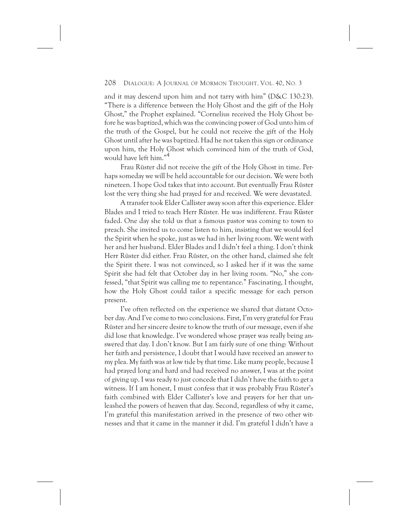and it may descend upon him and not tarry with him" (D&C 130:23). "There is a difference between the Holy Ghost and the gift of the Holy Ghost," the Prophet explained. "Cornelius received the Holy Ghost before he was baptized, which was the convincing power of God unto him of the truth of the Gospel, but he could not receive the gift of the Holy Ghost until after he was baptized. Had he not taken this sign or ordinance upon him, the Holy Ghost which convinced him of the truth of God, would have left him."4

Frau Rüster did not receive the gift of the Holy Ghost in time. Perhaps someday we will be held accountable for our decision. We were both nineteen. I hope God takes that into account. But eventually Frau Rüster lost the very thing she had prayed for and received. We were devastated.

A transfer took Elder Callister away soon after this experience. Elder Blades and I tried to teach Herr Rüster. He was indifferent. Frau Rüster faded. One day she told us that a famous pastor was coming to town to preach. She invited us to come listen to him, insisting that we would feel the Spirit when he spoke, just as we had in her living room. We went with her and her husband. Elder Blades and I didn't feel a thing. I don't think Herr Rüster did either. Frau Rüster, on the other hand, claimed she felt the Spirit there. I was not convinced, so I asked her if it was the same Spirit she had felt that October day in her living room. "No," she confessed, "that Spirit was calling me to repentance." Fascinating, I thought, how the Holy Ghost could tailor a specific message for each person present.

I've often reflected on the experience we shared that distant October day. And I've come to two conclusions. First, I'm very grateful for Frau Rüster and her sincere desire to know the truth of our message, even if she did lose that knowledge. I've wondered whose prayer was really being answered that day. I don't know. But I am fairly sure of one thing: Without her faith and persistence, I doubt that I would have received an answer to my plea. My faith was at low tide by that time. Like many people, because I had prayed long and hard and had received no answer, I was at the point of giving up. I was ready to just concede that I didn't have the faith to get a witness. If I am honest, I must confess that it was probably Frau Rüster's faith combined with Elder Callister's love and prayers for her that unleashed the powers of heaven that day. Second, regardless of why it came, I'm grateful this manifestation arrived in the presence of two other witnesses and that it came in the manner it did. I'm grateful I didn't have a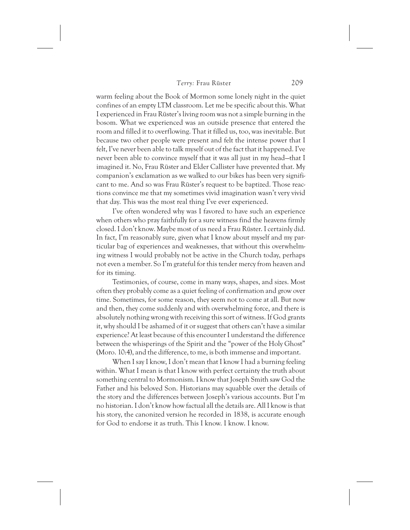warm feeling about the Book of Mormon some lonely night in the quiet confines of an empty LTM classroom. Let me be specific about this. What I experienced in Frau Rüster's living room was not a simple burning in the bosom. What we experienced was an outside presence that entered the room and filled it to overflowing. That it filled us, too, was inevitable. But because two other people were present and felt the intense power that I felt, I've never been able to talk myself out of the fact that it happened. I've never been able to convince myself that it was all just in my head—that I imagined it. No, Frau Rüster and Elder Callister have prevented that. My companion's exclamation as we walked to our bikes has been very significant to me. And so was Frau Rüster's request to be baptized. Those reactions convince me that my sometimes vivid imagination wasn't very vivid that day. This was the most real thing I've ever experienced.

I've often wondered why was I favored to have such an experience when others who pray faithfully for a sure witness find the heavens firmly closed. I don't know. Maybe most of us need a Frau Rüster. I certainly did. In fact, I'm reasonably sure, given what I know about myself and my particular bag of experiences and weaknesses, that without this overwhelming witness I would probably not be active in the Church today, perhaps not even a member. So I'm grateful for this tender mercy from heaven and for its timing.

Testimonies, of course, come in many ways, shapes, and sizes. Most often they probably come as a quiet feeling of confirmation and grow over time. Sometimes, for some reason, they seem not to come at all. But now and then, they come suddenly and with overwhelming force, and there is absolutely nothing wrong with receiving this sort of witness. If God grants it, why should I be ashamed of it or suggest that others can't have a similar experience? At least because of this encounter I understand the difference between the whisperings of the Spirit and the "power of the Holy Ghost" (Moro. 10:4), and the difference, to me, is both immense and important.

When I say I know, I don't mean that I know I had a burning feeling within. What I mean is that I know with perfect certainty the truth about something central to Mormonism. I know that Joseph Smith saw God the Father and his beloved Son. Historians may squabble over the details of the story and the differences between Joseph's various accounts. But I'm no historian. I don't know how factual all the details are. All I know is that his story, the canonized version he recorded in 1838, is accurate enough for God to endorse it as truth. This I know. I know. I know.